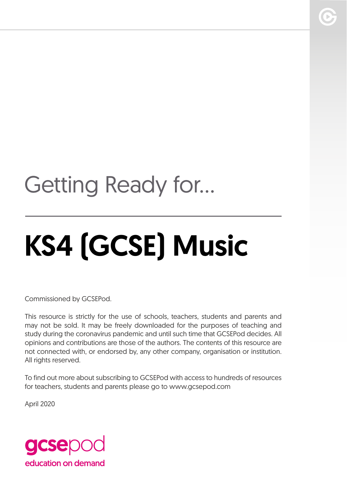# Getting Ready for...

# KS4 (GCSE) Music

Commissioned by GCSEPod.

This resource is strictly for the use of schools, teachers, students and parents and may not be sold. It may be freely downloaded for the purposes of teaching and study during the coronavirus pandemic and until such time that GCSEPod decides. All opinions and contributions are those of the authors. The contents of this resource are not connected with, or endorsed by, any other company, organisation or institution. All rights reserved.

To find out more about subscribing to GCSEPod with access to hundreds of resources for teachers, students and parents please go to www.gcsepod.com

April 2020

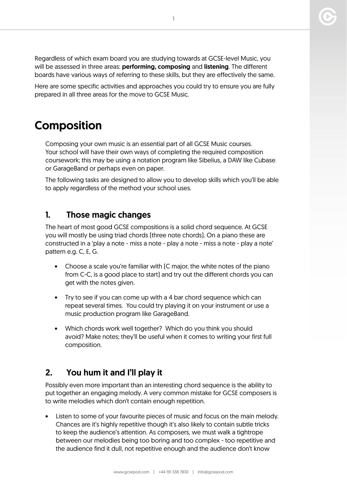Regardless of which exam board you are studying towards at GCSE-level Music, you will be assessed in three areas: **performing, composing** and **listening**. The different boards have various ways of referring to these skills, but they are effectively the same.

Here are some specific activities and approaches you could try to ensure you are fully prepared in all three areas for the move to GCSE Music.

# Composition

Composing your own music is an essential part of all GCSE Music courses. Your school will have their own ways of completing the required composition coursework; this may be using a notation program like Sibelius, a DAW like Cubase or GarageBand or perhaps even on paper.

The following tasks are designed to allow you to develop skills which you'll be able to apply regardless of the method your school uses.

#### 1. Those magic changes

The heart of most good GCSE compositions is a solid chord sequence. At GCSE you will mostly be using triad chords (three note chords). On a piano these are constructed in a 'play a note - miss a note - play a note - miss a note - play a note' pattern e.g. C, E, G.

- Choose a scale you're familiar with (C major, the white notes of the piano from C-C, is a good place to start) and try out the different chords you can get with the notes given.
- Try to see if you can come up with a 4 bar chord sequence which can repeat several times. You could try playing it on your instrument or use a music production program like GarageBand.
- Which chords work well together? Which do you think you should avoid? Make notes; they'll be useful when it comes to writing your first full composition.

#### 2. You hum it and I'll play it

Possibly even more important than an interesting chord sequence is the ability to put together an engaging melody. A very common mistake for GCSE composers is to write melodies which don't contain enough repetition.

Listen to some of your favourite pieces of music and focus on the main melody. Chances are it's highly repetitive though it's also likely to contain subtle tricks to keep the audience's attention. As composers, we must walk a tightrope between our melodies being too boring and too complex - too repetitive and the audience find it dull, not repetitive enough and the audience don't know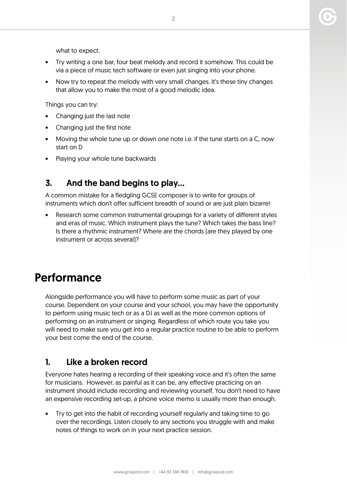what to expect.

- Try writing a one bar, four beat melody and record it somehow. This could be via a piece of music tech software or even just singing into your phone.
- Now try to repeat the melody with very small changes. It's these tiny changes that allow you to make the most of a good melodic idea.

Things you can try:

- Changing just the last note
- Changing just the first note
- Moving the whole tune up or down one note i.e. if the tune starts on a C, now start on D
- Playing your whole tune backwards

#### 3. And the band begins to play…

A common mistake for a fledgling GCSE composer is to write for groups of instruments which don't offer sufficient breadth of sound or are just plain bizarre!

Research some common instrumental groupings for a variety of different styles and eras of music. Which instrument plays the tune? Which takes the bass line? Is there a rhythmic instrument? Where are the chords (are they played by one instrument or across several)?

# Performance

Alongside performance you will have to perform some music as part of your course. Dependent on your course and your school, you may have the opportunity to perform using music tech or as a DJ as well as the more common options of performing on an instrument or singing. Regardless of which route you take you will need to make sure you get into a regular practice routine to be able to perform your best come the end of the course.

#### 1. Like a broken record

Everyone hates hearing a recording of their speaking voice and it's often the same for musicians. However, as painful as it can be, any effective practicing on an instrument should include recording and reviewing yourself. You don't need to have an expensive recording set-up, a phone voice memo is usually more than enough.

• Try to get into the habit of recording yourself regularly and taking time to go over the recordings. Listen closely to any sections you struggle with and make notes of things to work on in your next practice session.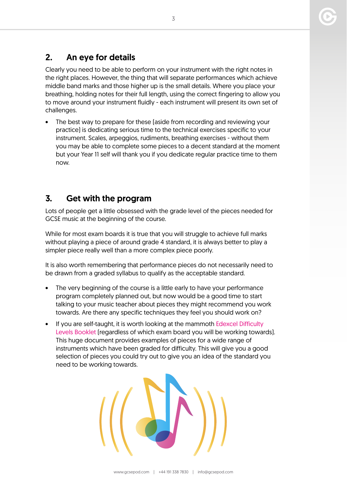### 2. An eye for details

Clearly you need to be able to perform on your instrument with the right notes in the right places. However, the thing that will separate performances which achieve middle band marks and those higher up is the small details. Where you place your breathing, holding notes for their full length, using the correct fingering to allow you to move around your instrument fluidly - each instrument will present its own set of challenges.

• The best way to prepare for these (aside from recording and reviewing your practice) is dedicating serious time to the technical exercises specific to your instrument. Scales, arpeggios, rudiments, breathing exercises - without them you may be able to complete some pieces to a decent standard at the moment but your Year 11 self will thank you if you dedicate regular practice time to them now.

#### 3. Get with the program

Lots of people get a little obsessed with the grade level of the pieces needed for GCSE music at the beginning of the course.

While for most exam boards it is true that you will struggle to achieve full marks without playing a piece of around grade 4 standard, it is always better to play a simpler piece really well than a more complex piece poorly.

It is also worth remembering that performance pieces do not necessarily need to be drawn from a graded syllabus to qualify as the acceptable standard.

- The very beginning of the course is a little early to have your performance program completely planned out, but now would be a good time to start talking to your music teacher about pieces they might recommend you work towards. Are there any specific techniques they feel you should work on?
- If you are self-taught, it is worth looking at the mammoth [Edexcel Difficulty](https://qualifications.pearson.com/content/dam/pdf/A%20Level/Music/2016/Specification%20and%20sample%20assessments/GCSE-AS-and-A-level-Music-Difficulty-Levels-Booklet.pdf)  [Levels Booklet](https://qualifications.pearson.com/content/dam/pdf/A%20Level/Music/2016/Specification%20and%20sample%20assessments/GCSE-AS-and-A-level-Music-Difficulty-Levels-Booklet.pdf) (regardless of which exam board you will be working towards). This huge document provides examples of pieces for a wide range of instruments which have been graded for difficulty. This will give you a good selection of pieces you could try out to give you an idea of the standard you need to be working towards.